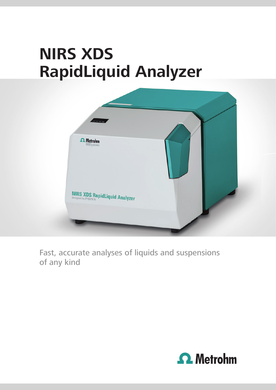# **NIRS XDS RapidLiquid Analyzer**



Fast, accurate analyses of liquids and suspensions of any kind

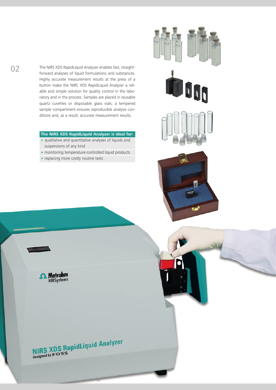The NIRS XDS RapidLiquid Analyzer enables fast, straightforward analyses of liquid formulations and substances. Highly accurate measurement results at the press of a button make the NIRS XDS RapidLiquid Analyzer a reliable and simple solution for quality control in the laboratory and in the process. Samples are placed in reusable quartz cuvettes or disposable glass vials; a tempered sample compartment ensures reproducible analysis conditions and, as a result, accurate measurement results.

#### **The NIRS XDS RapidLiquid Analyzer is ideal for:**

- qualitative and quantitative analyses of liquids and suspensions of any kind
- monitoring temperature-controlled liquid products
- replacing more costly routine tests

**boo** 



**A** Metrohm

**NIRS XDS RapidLiquid Analyzer**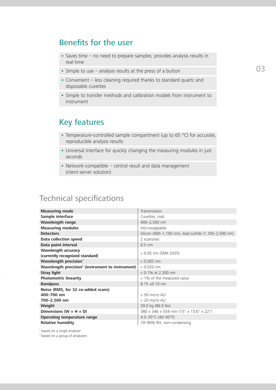### Benefits for the user

- Saves time no need to prepare samples; provides analysis results in real-time
- Simple to use analysis results at the press of a button
- Convenient less cleaning required thanks to standard quartz and disposable cuvettes
- Simple to transfer methods and calibration models from instrument to instrument

## Key features

- Temperature-controlled sample compartment (up to 65 °C) for accurate, reproducible analysis results
- Universal interface for quickly changing the measuring modules in just seconds
- Network-compatible central result and data management (client-server solution)

## Technical specifications

| <b>Measuring mode</b>                                            | Transmission                                                     |
|------------------------------------------------------------------|------------------------------------------------------------------|
| Sample interface                                                 | Cuvettes, vials                                                  |
| Wavelength range                                                 | 400-2,500 nm                                                     |
| <b>Measuring modules</b>                                         | Hot-swappable                                                    |
| <b>Detectors</b>                                                 | Silicon (400-1,100 nm), lead sulfide (1,100-2,500 nm)            |
| Data collection speed                                            | 2 scans/sec                                                      |
| Data point interval                                              | $0.5$ nm                                                         |
| <b>Wavelength accuracy</b><br>(currently recognized standard)    | $< 0.05$ nm (SRM 2035)                                           |
| Wavelength precision <sup>1</sup>                                | $< 0.005$ nm                                                     |
| Wavelength precision <sup>2</sup> (instrument to instrument)     | $< 0.020$ nm                                                     |
| <b>Stray light</b>                                               | $< 0.1\%$ at 2,300 nm                                            |
| <b>Photometric linearity</b>                                     | $<$ 1% of the measured value                                     |
| <b>Bandpass</b>                                                  | $8.75 \pm 0.10$ nm                                               |
| Noise (RMS, for 32 co-added scans)<br>400-700 nm<br>700-2,500 nm | $< 50$ micro AU<br>< 20 micro AU                                 |
| Weight                                                           | 39.0 kg (86.0 lbs)                                               |
| Dimensions ( $W \times H \times D$ )                             | $380 \times 346 \times 559$ mm (15" $\times$ 13.6" $\times$ 22") |
| <b>Operating temperature range</b>                               | 4.5-35°C (40-95°F)                                               |
| <b>Relative humidity</b>                                         | 10-90% RH, non-condensing                                        |

1 based on a single analyzer

<sup>2</sup> based on a group of analyzers